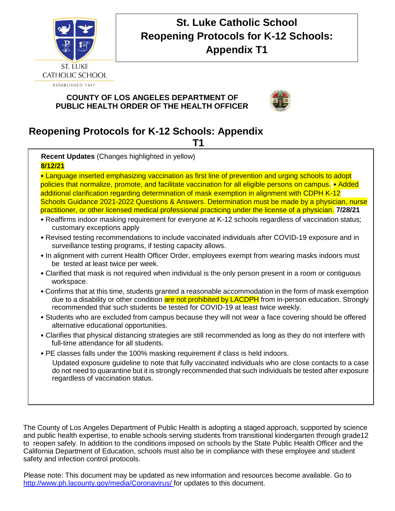

# **St. Luke Catholic School Reopening Protocols for K-12 Schools: Appendix T1**

# **COUNTY OF LOS ANGELES DEPARTMENT OF PUBLIC HEALTH ORDER OF THE HEALTH OFFICER**



# **Reopening Protocols for K-12 Schools: Appendix**

**T1** 

**Recent Updates** (Changes highlighted in yellow) **8/12/21**

• Language inserted emphasizing vaccination as first line of prevention and urging schools to adopt policies that normalize, promote, and facilitate vaccination for all eligible persons on campus. • Added additional clarification regarding determination of mask exemption in alignment with CDPH K-12 Schools Guidance 2021-2022 Questions & Answers. Determination must be made by a physician, nurse practitioner, or other licensed medical professional practicing under the license of a physician. **7/28/21** 

- Reaffirms indoor masking requirement for everyone at K-12 schools regardless of vaccination status; customary exceptions apply
- Revised testing recommendations to include vaccinated individuals after COVID-19 exposure and in surveillance testing programs, if testing capacity allows.
- In alignment with current Health Officer Order, employees exempt from wearing masks indoors must be tested at least twice per week.
- Clarified that mask is not required when individual is the only person present in a room or contiguous workspace.
- Confirms that at this time, students granted a reasonable accommodation in the form of mask exemption due to a disability or other condition are not prohibited by LACDPH from in-person education. Strongly recommended that such students be tested for COVID-19 at least twice weekly.
- Students who are excluded from campus because they will not wear a face covering should be offered alternative educational opportunities.
- Clarifies that physical distancing strategies are still recommended as long as they do not interfere with full-time attendance for all students.
- PE classes falls under the 100% masking requirement if class is held indoors.

Updated exposure guideline to note that fully vaccinated individuals who are close contacts to a case do not need to quarantine but it is strongly recommended that such individuals be tested after exposure regardless of vaccination status.

The County of Los Angeles Department of Public Health is adopting a staged approach, supported by science and public health expertise, to enable schools serving students from transitional kindergarten through grade12 to reopen safely. In addition to the conditions imposed on schools by the State Public Health Officer and the California Department of Education, schools must also be in compliance with these employee and student safety and infection control protocols.

Please note: This document may be updated as new information and resources become available. Go to http://www.ph.lacounty.gov/media/Coronavirus/ for updates to this document.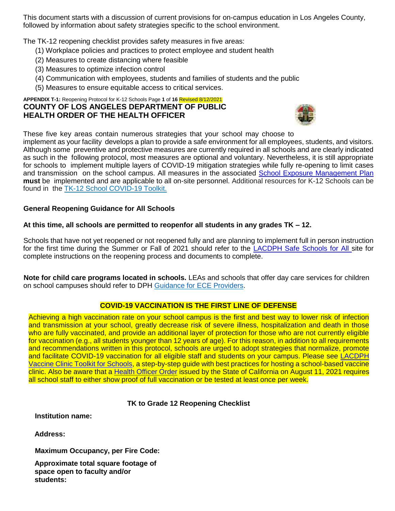This document starts with a discussion of current provisions for on-campus education in Los Angeles County, followed by information about safety strategies specific to the school environment.

The TK-12 reopening checklist provides safety measures in five areas:

- (1) Workplace policies and practices to protect employee and student health
- (2) Measures to create distancing where feasible
- (3) Measures to optimize infection control
- (4) Communication with employees, students and families of students and the public
- (5) Measures to ensure equitable access to critical services.

#### **APPENDIX T-1:** Reopening Protocol for K-12 Schools Page **1** of **16** Revised 8/12/2021 **COUNTY OF LOS ANGELES DEPARTMENT OF PUBLIC HEALTH ORDER OF THE HEALTH OFFICER**



These five key areas contain numerous strategies that your school may choose to

implement as your facility develops a plan to provide a safe environment for all employees, students, and visitors. Although some preventive and protective measures are currently required in all schools and are clearly indicated as such in the following protocol, most measures are optional and voluntary. Nevertheless, it is still appropriate for schools to implement multiple layers of COVID-19 mitigation strategies while fully re-opening to limit cases and transmission on the school campus. All measures in the associated School Exposure Management Plan **must** be implemented and are applicable to all on-site personnel. Additional resources for K-12 Schools can be found in the TK-12 School COVID-19 Toolkit.

## **General Reopening Guidance for All Schools**

## **At this time, all schools are permitted to reopenfor all students in any grades TK – 12.**

Schools that have not yet reopened or not reopened fully and are planning to implement full in person instruction for the first time during the Summer or Fall of 2021 should refer to the LACDPH Safe Schools for All site for complete instructions on the reopening process and documents to complete.

**Note for child care programs located in schools.** LEAs and schools that offer day care services for children on school campuses should refer to DPH Guidance for ECE Providers.

## **COVID-19 VACCINATION IS THE FIRST LINE OF DEFENSE**

Achieving a high vaccination rate on your school campus is the first and best way to lower risk of infection and transmission at your school, greatly decrease risk of severe illness, hospitalization and death in those who are fully vaccinated, and provide an additional layer of protection for those who are not currently eligible for vaccination (e.g., all students younger than 12 years of age). For this reason, in addition to all requirements and recommendations written in this protocol, schools are urged to adopt strategies that normalize, promote and facilitate COVID-19 vaccination for all eligible staff and students on your campus. Please see LACDPH Vaccine Clinic Toolkit for Schools, a step-by-step guide with best practices for hosting a school-based vaccine clinic. Also be aware that a Health Officer Order issued by the State of California on August 11, 2021 requires all school staff to either show proof of full vaccination or be tested at least once per week.

## **TK to Grade 12 Reopening Checklist**

**Institution name:** 

**Address:** 

**Maximum Occupancy, per Fire Code:** 

**Approximate total square footage of space open to faculty and/or students:**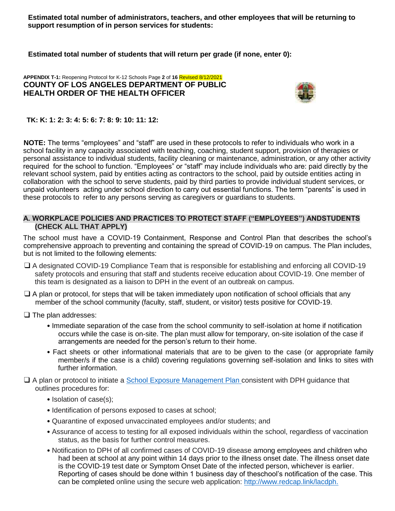**Estimated total number of administrators, teachers, and other employees that will be returning to support resumption of in person services for students:** 

**Estimated total number of students that will return per grade (if none, enter 0):** 

#### **APPENDIX T-1:** Reopening Protocol for K-12 Schools Page **2** of **16** Revised 8/12/2021 **COUNTY OF LOS ANGELES DEPARTMENT OF PUBLIC HEALTH ORDER OF THE HEALTH OFFICER**



## **TK: K: 1: 2: 3: 4: 5: 6: 7: 8: 9: 10: 11: 12:**

**NOTE:** The terms "employees" and "staff" are used in these protocols to refer to individuals who work in a school facility in any capacity associated with teaching, coaching, student support, provision of therapies or personal assistance to individual students, facility cleaning or maintenance, administration, or any other activity required for the school to function. "Employees" or "staff" may include individuals who are: paid directly by the relevant school system, paid by entities acting as contractors to the school, paid by outside entities acting in collaboration with the school to serve students, paid by third parties to provide individual student services, or unpaid volunteers acting under school direction to carry out essential functions. The term "parents" is used in these protocols to refer to any persons serving as caregivers or guardians to students.

### **A. WORKPLACE POLICIES AND PRACTICES TO PROTECT STAFF ("EMPLOYEES") ANDSTUDENTS (CHECK ALL THAT APPLY)**

The school must have a COVID-19 Containment, Response and Control Plan that describes the school's comprehensive approach to preventing and containing the spread of COVID-19 on campus. The Plan includes, but is not limited to the following elements:

- ❑ A designated COVID-19 Compliance Team that is responsible for establishing and enforcing all COVID-19 safety protocols and ensuring that staff and students receive education about COVID-19. One member of this team is designated as a liaison to DPH in the event of an outbreak on campus.
- $\Box$  A plan or protocol, for steps that will be taken immediately upon notification of school officials that any member of the school community (faculty, staff, student, or visitor) tests positive for COVID-19.
- ❑ The plan addresses:
	- Immediate separation of the case from the school community to self-isolation at home if notification occurs while the case is on-site. The plan must allow for temporary, on-site isolation of the case if arrangements are needed for the person's return to their home.
	- Fact sheets or other informational materials that are to be given to the case (or appropriate family member/s if the case is a child) covering regulations governing self-isolation and links to sites with further information.
- ❑ A plan or protocol to initiate a School Exposure Management Plan consistent with DPH guidance that outlines procedures for:
	- Isolation of case(s);
	- Identification of persons exposed to cases at school;
	- Quarantine of exposed unvaccinated employees and/or students; and
	- Assurance of access to testing for all exposed individuals within the school, regardless of vaccination status, as the basis for further control measures.
	- Notification to DPH of all confirmed cases of COVID-19 disease among employees and children who had been at school at any point within 14 days prior to the illness onset date. The illness onset date is the COVID-19 test date or Symptom Onset Date of the infected person, whichever is earlier. Reporting of cases should be done within 1 business day of theschool's notification of the case. This can be completed online using the secure web application: http://www.redcap.link/lacdph.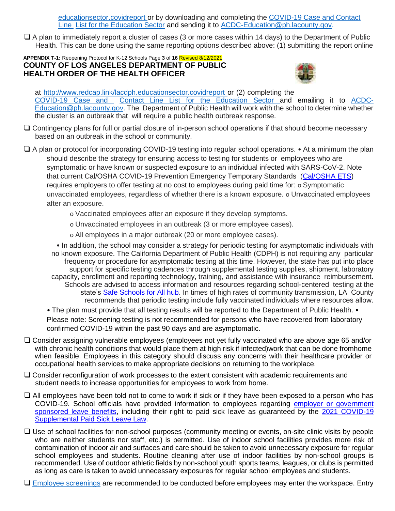educationsector.covidreport or by downloading and completing the COVID-19 Case and Contact Line List for the Education Sector and sending it to ACDC-Education@ph.lacounty.gov.

❑ A plan to immediately report a cluster of cases (3 or more cases within 14 days) to the Department of Public Health. This can be done using the same reporting options described above: (1) submitting the report online

#### **APPENDIX T-1:** Reopening Protocol for K-12 Schools Page **3** of **16** Revised 8/12/2021 **COUNTY OF LOS ANGELES DEPARTMENT OF PUBLIC HEALTH ORDER OF THE HEALTH OFFICER**



at http://www.redcap.link/lacdph.educationsector.covidreport or (2) completing the COVID-19 Case and Contact Line List for the Education Sector and emailing it to ACDC-Education@ph.lacounty.gov. The Department of Public Health will work with the school to determine whether the cluster is an outbreak that will require a public health outbreak response.

- ❑ Contingency plans for full or partial closure of in-person school operations if that should become necessary based on an outbreak in the school or community.
- ❑ A plan or protocol for incorporating COVID-19 testing into regular school operations. At a minimum the plan should describe the strategy for ensuring access to testing for students or employees who are symptomatic or have known or suspected exposure to an individual infected with SARS-CoV-2. Note that current Cal/OSHA COVID-19 Prevention Emergency Temporary Standards (Cal/OSHA ETS) requires employers to offer testing at no cost to employees during paid time for: o Symptomatic unvaccinated employees, regardless of whether there is a known exposure. o Unvaccinated employees after an exposure.
	- o Vaccinated employees after an exposure if they develop symptoms.
	- o Unvaccinated employees in an outbreak (3 or more employee cases).
	- o All employees in a major outbreak (20 or more employee cases).

• In addition, the school may consider a strategy for periodic testing for asymptomatic individuals with no known exposure. The California Department of Public Health (CDPH) is not requiring any particular frequency or procedure for asymptomatic testing at this time. However, the state has put into place support for specific testing cadences through supplemental testing supplies, shipment, laboratory capacity, enrollment and reporting technology, training, and assistance with insurance reimbursement. Schools are advised to access information and resources regarding school-centered testing at the state's Safe Schools for All hub. In times of high rates of community transmission, LA County recommends that periodic testing include fully vaccinated individuals where resources allow.

• The plan must provide that all testing results will be reported to the Department of Public Health. • Please note: Screening testing is not recommended for persons who have recovered from laboratory confirmed COVID-19 within the past 90 days and are asymptomatic.

- ❑ Consider assigning vulnerable employees (employees not yet fully vaccinated who are above age 65 and/or with chronic health conditions that would place them at high risk if infected) work that can be done fromhome when feasible. Employees in this category should discuss any concerns with their healthcare provider or occupational health services to make appropriate decisions on returning to the workplace.
- ❑ Consider reconfiguration of work processes to the extent consistent with academic requirements and student needs to increase opportunities for employees to work from home.
- ❑ All employees have been told not to come to work if sick or if they have been exposed to a person who has COVID-19. School officials have provided information to employees regarding employer or government sponsored leave benefits, including their right to paid sick leave as guaranteed by the 2021 COVID-19 Supplemental Paid Sick Leave Law.
- ❑ Use of school facilities for non-school purposes (community meeting or events, on-site clinic visits by people who are neither students nor staff, etc.) is permitted. Use of indoor school facilities provides more risk of contamination of indoor air and surfaces and care should be taken to avoid unnecessary exposure for regular school employees and students. Routine cleaning after use of indoor facilities by non-school groups is recommended. Use of outdoor athletic fields by non-school youth sports teams, leagues, or clubs is permitted as long as care is taken to avoid unnecessary exposures for regular school employees and students.

❑ Employee screenings are recommended to be conducted before employees may enter the workspace. Entry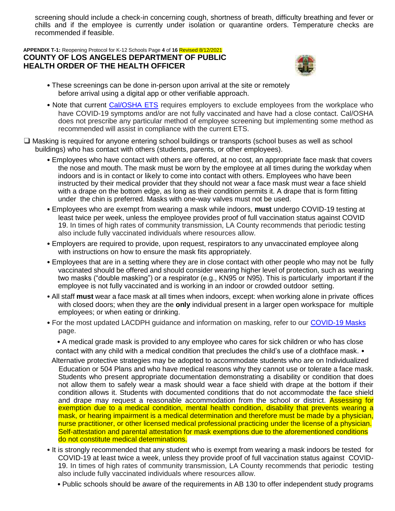screening should include a check-in concerning cough, shortness of breath, difficulty breathing and fever or chills and if the employee is currently under isolation or quarantine orders. Temperature checks are recommended if feasible.

#### **APPENDIX T-1:** Reopening Protocol for K-12 Schools Page **4** of **16** Revised 8/12/2021 **COUNTY OF LOS ANGELES DEPARTMENT OF PUBLIC HEALTH ORDER OF THE HEALTH OFFICER**



- These screenings can be done in-person upon arrival at the site or remotely before arrival using a digital app or other verifiable approach.
- Note that current Cal/OSHA ETS requires employers to exclude employees from the workplace who have COVID-19 symptoms and/or are not fully vaccinated and have had a close contact. Cal/OSHA does not prescribe any particular method of employee screening but implementing some method as recommended will assist in compliance with the current ETS.
- ❑ Masking is required for anyone entering school buildings or transports (school buses as well as school buildings) who has contact with others (students, parents, or other employees).
	- Employees who have contact with others are offered, at no cost, an appropriate face mask that covers the nose and mouth. The mask must be worn by the employee at all times during the workday when indoors and is in contact or likely to come into contact with others. Employees who have been instructed by their medical provider that they should not wear a face mask must wear a face shield with a drape on the bottom edge, as long as their condition permits it. A drape that is form fitting under the chin is preferred. Masks with one-way valves must not be used.
	- Employees who are exempt from wearing a mask while indoors, **must** undergo COVID-19 testing at least twice per week, unless the employee provides proof of full vaccination status against COVID 19. In times of high rates of community transmission, LA County recommends that periodic testing also include fully vaccinated individuals where resources allow.
	- Employers are required to provide, upon request, respirators to any unvaccinated employee along with instructions on how to ensure the mask fits appropriately.
	- Employees that are in a setting where they are in close contact with other people who may not be fully vaccinated should be offered and should consider wearing higher level of protection, such as wearing two masks ("double masking") or a respirator (e.g., KN95 or N95). This is particularly important if the employee is not fully vaccinated and is working in an indoor or crowded outdoor setting.
	- All staff **must** wear a face mask at all times when indoors, except: when working alone in private offices with closed doors; when they are the **only** individual present in a larger open workspace for multiple employees; or when eating or drinking.
	- For the most updated LACDPH guidance and information on masking, refer to our COVID-19 Masks page.

• A medical grade mask is provided to any employee who cares for sick children or who has close contact with any child with a medical condition that precludes the child's use of a clothface mask. •

- Alternative protective strategies may be adopted to accommodate students who are on Individualized Education or 504 Plans and who have medical reasons why they cannot use or tolerate a face mask. Students who present appropriate documentation demonstrating a disability or condition that does not allow them to safely wear a mask should wear a face shield with drape at the bottom if their condition allows it. Students with documented conditions that do not accommodate the face shield and drape may request a reasonable accommodation from the school or district. Assessing for exemption due to a medical condition, mental health condition, disability that prevents wearing a mask, or hearing impairment is a medical determination and therefore must be made by a physician, nurse practitioner, or other licensed medical professional practicing under the license of a physician. Self-attestation and parental attestation for mask exemptions due to the aforementioned conditions do not constitute medical determinations.
- It is strongly recommended that any student who is exempt from wearing a mask indoors be tested for COVID-19 at least twice a week, unless they provide proof of full vaccination status against COVID-19. In times of high rates of community transmission, LA County recommends that periodic testing also include fully vaccinated individuals where resources allow.
	- Public schools should be aware of the requirements in AB 130 to offer independent study programs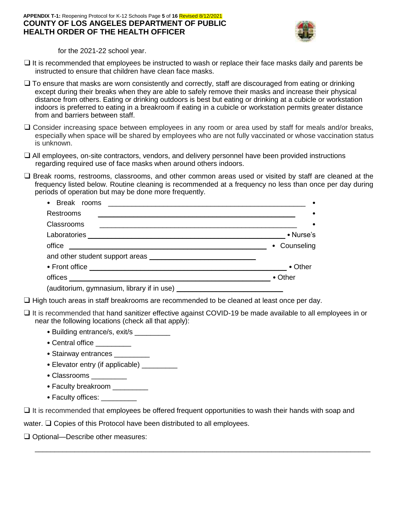#### **APPENDIX T-1:** Reopening Protocol for K-12 Schools Page **5** of **16** Revised 8/12/2021 **COUNTY OF LOS ANGELES DEPARTMENT OF PUBLIC HEALTH ORDER OF THE HEALTH OFFICER**



for the 2021-22 school year.

- ❑ It is recommended that employees be instructed to wash or replace their face masks daily and parents be instructed to ensure that children have clean face masks.
- $\Box$  To ensure that masks are worn consistently and correctly, staff are discouraged from eating or drinking except during their breaks when they are able to safely remove their masks and increase their physical distance from others. Eating or drinking outdoors is best but eating or drinking at a cubicle or workstation indoors is preferred to eating in a breakroom if eating in a cubicle or workstation permits greater distance from and barriers between staff.
- ❑ Consider increasing space between employees in any room or area used by staff for meals and/or breaks, especially when space will be shared by employees who are not fully vaccinated or whose vaccination status is unknown.
- ❑ All employees, on-site contractors, vendors, and delivery personnel have been provided instructions regarding required use of face masks when around others indoors.
- ❑ Break rooms, restrooms, classrooms, and other common areas used or visited by staff are cleaned at the frequency listed below. Routine cleaning is recommended at a frequency no less than once per day during periods of operation but may be done more frequently.

| Break rooms                                                      |                 |
|------------------------------------------------------------------|-----------------|
| Restrooms                                                        |                 |
| <b>Classrooms</b>                                                |                 |
| Laboratories _______                                             | • Nurse's       |
| office<br><u> 1989 - Andrea Andrew Maria Alemania, martin di</u> | • Counseling    |
|                                                                  |                 |
|                                                                  | $\bullet$ Other |
| offices                                                          | $\bullet$ Other |
| (auditorium, gymnasium, library if in use)                       |                 |

❑ High touch areas in staff breakrooms are recommended to be cleaned at least once per day.

- ❑ It is recommended that hand sanitizer effective against COVID-19 be made available to all employees in or near the following locations (check all that apply):
	- Building entrance/s, exit/s \_\_\_\_\_\_\_\_\_
	- Central office \_\_\_\_\_\_\_\_\_
	- Stairway entrances
	- Elevator entry (if applicable) \_\_\_\_\_\_\_\_\_
	- Classrooms
	- Faculty breakroom \_\_\_\_\_\_\_\_\_
	- Faculty offices: \_\_\_\_\_\_\_\_\_\_

 $\Box$  It is recommended that employees be offered frequent opportunities to wash their hands with soap and

\_\_\_\_\_\_\_\_\_\_\_\_\_\_\_\_\_\_\_\_\_\_\_\_\_\_\_\_\_\_\_\_\_\_\_\_\_\_\_\_\_\_\_\_\_\_\_\_\_\_\_\_\_\_\_\_\_\_\_\_\_\_\_\_\_\_\_\_\_\_\_\_\_\_\_\_\_\_\_\_\_\_\_\_\_

water. ❑ Copies of this Protocol have been distributed to all employees.

❑ Optional—Describe other measures: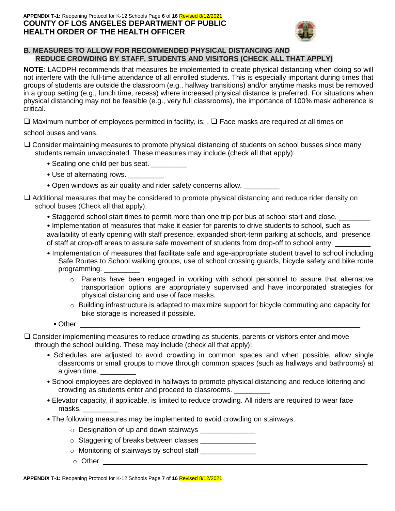#### **APPENDIX T-1:** Reopening Protocol for K-12 Schools Page **6** of **16** Revised 8/12/2021 **COUNTY OF LOS ANGELES DEPARTMENT OF PUBLIC HEALTH ORDER OF THE HEALTH OFFICER**



## **B. MEASURES TO ALLOW FOR RECOMMENDED PHYSICAL DISTANCING AND REDUCE CROWDING BY STAFF, STUDENTS AND VISITORS (CHECK ALL THAT APPLY)**

**NOTE**: LACDPH recommends that measures be implemented to create physical distancing when doing so will not interfere with the full-time attendance of all enrolled students. This is especially important during times that groups of students are outside the classroom (e.g., hallway transitions) and/or anytime masks must be removed in a group setting (e.g., lunch time, recess) where increased physical distance is preferred. For situations when physical distancing may not be feasible (e.g., very full classrooms), the importance of 100% mask adherence is critical.

 $□$  Maximum number of employees permitted in facility, is: .  $□$  Face masks are required at all times on

school buses and vans.

- ❑ Consider maintaining measures to promote physical distancing of students on school busses since many students remain unvaccinated. These measures may include (check all that apply):
	- Seating one child per bus seat.
	- Use of alternating rows.
	- Open windows as air quality and rider safety concerns allow.
- ❑ Additional measures that may be considered to promote physical distancing and reduce rider density on school buses (Check all that apply):
	- Staggered school start times to permit more than one trip per bus at school start and close.
	- Implementation of measures that make it easier for parents to drive students to school, such as availability of early opening with staff presence, expanded short-term parking at schools, and presence of staff at drop-off areas to assure safe movement of students from drop-off to school entry.
	- Implementation of measures that facilitate safe and age-appropriate student travel to school including Safe Routes to School walking groups, use of school crossing guards, bicycle safety and bike route programming.
		- $\circ$  Parents have been engaged in working with school personnel to assure that alternative transportation options are appropriately supervised and have incorporated strategies for physical distancing and use of face masks.
		- $\circ$  Building infrastructure is adapted to maximize support for bicycle commuting and capacity for bike storage is increased if possible.
		- Other: \_\_\_\_\_\_\_\_\_\_\_\_\_\_\_\_\_\_\_\_\_\_\_\_\_\_\_\_\_\_\_\_\_\_\_\_\_\_\_\_\_\_\_\_\_\_\_\_\_\_\_\_\_\_\_\_\_\_\_\_\_\_\_\_\_\_\_\_\_\_\_
- ❑ Consider implementing measures to reduce crowding as students, parents or visitors enter and move through the school building. These may include (check all that apply):
	- Schedules are adjusted to avoid crowding in common spaces and when possible, allow single classrooms or small groups to move through common spaces (such as hallways and bathrooms) at a given time.
	- School employees are deployed in hallways to promote physical distancing and reduce loitering and crowding as students enter and proceed to classrooms. \_\_\_\_\_\_\_\_\_
	- Elevator capacity, if applicable, is limited to reduce crowding. All riders are required to wear face masks. \_\_\_\_\_\_\_\_\_
	- The following measures may be implemented to avoid crowding on stairways:
		- $\circ$  Designation of up and down stairways
		- $\circ$  Staggering of breaks between classes  $\equiv$
		- o Monitoring of stairways by school staff \_\_\_\_\_\_\_\_\_\_\_\_\_\_
		- $\circ$  Other: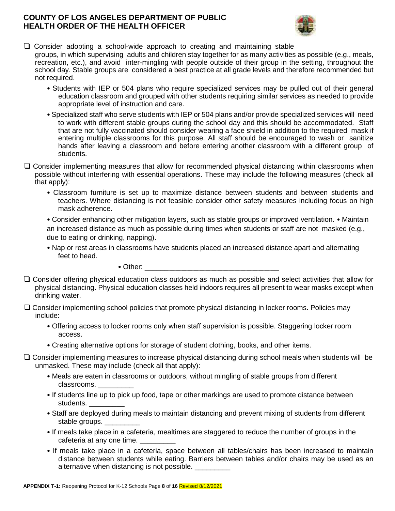## **COUNTY OF LOS ANGELES DEPARTMENT OF PUBLIC HEALTH ORDER OF THE HEALTH OFFICER**



- ❑ Consider adopting a school-wide approach to creating and maintaining stable groups, in which supervising adults and children stay together for as many activities as possible (e.g., meals, recreation, etc.), and avoid inter-mingling with people outside of their group in the setting, throughout the school day. Stable groups are considered a best practice at all grade levels and therefore recommended but not required.
	- Students with IEP or 504 plans who require specialized services may be pulled out of their general education classroom and grouped with other students requiring similar services as needed to provide appropriate level of instruction and care.
	- Specialized staff who serve students with IEP or 504 plans and/or provide specialized services will need to work with different stable groups during the school day and this should be accommodated. Staff that are not fully vaccinated should consider wearing a face shield in addition to the required mask if entering multiple classrooms for this purpose. All staff should be encouraged to wash or sanitize hands after leaving a classroom and before entering another classroom with a different group of students.
- ❑ Consider implementing measures that allow for recommended physical distancing within classrooms when possible without interfering with essential operations. These may include the following measures (check all that apply):
	- Classroom furniture is set up to maximize distance between students and between students and teachers. Where distancing is not feasible consider other safety measures including focus on high mask adherence.

• Consider enhancing other mitigation layers, such as stable groups or improved ventilation. • Maintain an increased distance as much as possible during times when students or staff are not masked (e.g., due to eating or drinking, napping).

• Nap or rest areas in classrooms have students placed an increased distance apart and alternating feet to head.

 $\bullet$  Other:  $\_\_$ 

- ❑ Consider offering physical education class outdoors as much as possible and select activities that allow for physical distancing. Physical education classes held indoors requires all present to wear masks except when drinking water.
- ❑ Consider implementing school policies that promote physical distancing in locker rooms. Policies may include:
	- Offering access to locker rooms only when staff supervision is possible. Staggering locker room access.
	- Creating alternative options for storage of student clothing, books, and other items.
- ❑ Consider implementing measures to increase physical distancing during school meals when students will be unmasked. These may include (check all that apply):
	- Meals are eaten in classrooms or outdoors, without mingling of stable groups from different classrooms. \_\_\_\_\_\_\_\_\_
	- If students line up to pick up food, tape or other markings are used to promote distance between students. \_\_\_\_\_\_\_\_\_
	- Staff are deployed during meals to maintain distancing and prevent mixing of students from different stable groups.
	- If meals take place in a cafeteria, mealtimes are staggered to reduce the number of groups in the cafeteria at any one time.
	- If meals take place in a cafeteria, space between all tables/chairs has been increased to maintain distance between students while eating. Barriers between tables and/or chairs may be used as an alternative when distancing is not possible.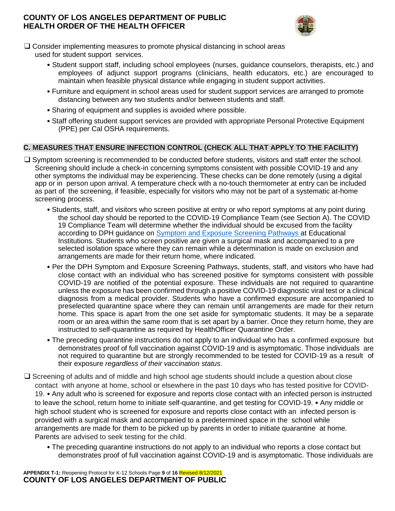# **COUNTY OF LOS ANGELES DEPARTMENT OF PUBLIC HEALTH ORDER OF THE HEALTH OFFICER**



- ❑ Consider implementing measures to promote physical distancing in school areas used for student support services.
	- Student support staff, including school employees (nurses, guidance counselors, therapists, etc.) and employees of adjunct support programs (clinicians, health educators, etc.) are encouraged to maintain when feasible physical distance while engaging in student support activities.
	- Furniture and equipment in school areas used for student support services are arranged to promote distancing between any two students and/or between students and staff.
	- Sharing of equipment and supplies is avoided where possible.
	- Staff offering student support services are provided with appropriate Personal Protective Equipment (PPE) per Cal OSHA requirements.

# **C. MEASURES THAT ENSURE INFECTION CONTROL (CHECK ALL THAT APPLY TO THE FACILITY)**

- ❑ Symptom screening is recommended to be conducted before students, visitors and staff enter the school. Screening should include a check-in concerning symptoms consistent with possible COVID-19 and any other symptoms the individual may be experiencing. These checks can be done remotely (using a digital app or in person upon arrival. A temperature check with a no-touch thermometer at entry can be included as part of the screening, if feasible, especially for visitors who may not be part of a systematic at-home screening process.
	- Students, staff, and visitors who screen positive at entry or who report symptoms at any point during the school day should be reported to the COVID-19 Compliance Team (see Section A). The COVID 19 Compliance Team will determine whether the individual should be excused from the facility according to DPH guidance on Symptom and Exposure Screening Pathways at Educational Institutions. Students who screen positive are given a surgical mask and accompanied to a pre selected isolation space where they can remain while a determination is made on exclusion and arrangements are made for their return home, where indicated.
	- Per the DPH Symptom and Exposure Screening Pathways, students, staff, and visitors who have had close contact with an individual who has screened positive for symptoms consistent with possible COVID-19 are notified of the potential exposure. These individuals are not required to quarantine unless the exposure has been confirmed through a positive COVID-19 diagnostic viral test or a clinical diagnosis from a medical provider. Students who have a confirmed exposure are accompanied to preselected quarantine space where they can remain until arrangements are made for their return home. This space is apart from the one set aside for symptomatic students. It may be a separate room or an area within the same room that is set apart by a barrier. Once they return home, they are instructed to self-quarantine as required by HealthOfficer Quarantine Order.
	- The preceding quarantine instructions do not apply to an individual who has a confirmed exposure but demonstrates proof of full vaccination against COVID-19 and is asymptomatic. Those individuals are not required to quarantine but are strongly recommended to be tested for COVID-19 as a result of their exposure *regardless of their vaccination status*.
- ❑ Screening of adults and of middle and high school age students should include a question about close contact with anyone at home, school or elsewhere in the past 10 days who has tested positive for COVID-19. • Any adult who is screened for exposure and reports close contact with an infected person is instructed to leave the school, return home to initiate self-quarantine, and get testing for COVID-19. • Any middle or high school student who is screened for exposure and reports close contact with an infected person is provided with a surgical mask and accompanied to a predetermined space in the school while arrangements are made for them to be picked up by parents in order to initiate quarantine at home. Parents are advised to seek testing for the child.
	- The preceding quarantine instructions do not apply to an individual who reports a close contact but demonstrates proof of full vaccination against COVID-19 and is asymptomatic. Those individuals are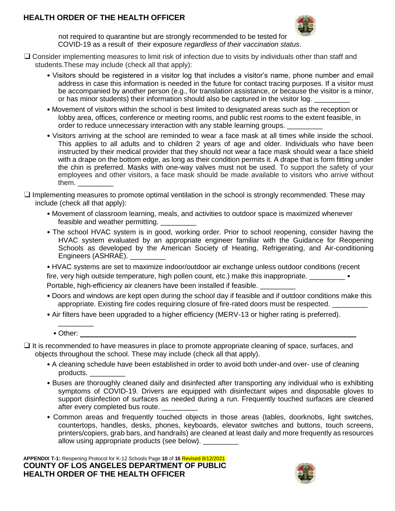# **HEALTH ORDER OF THE HEALTH OFFICER**



not required to quarantine but are strongly recommended to be tested for COVID-19 as a result of their exposure *regardless of their vaccination status*.

- ❑ Consider implementing measures to limit risk of infection due to visits by individuals other than staff and students.These may include (check all that apply):
	- Visitors should be registered in a visitor log that includes a visitor's name, phone number and email address in case this information is needed in the future for contact tracing purposes. If a visitor must be accompanied by another person (e.g., for translation assistance, or because the visitor is a minor, or has minor students) their information should also be captured in the visitor log.
	- Movement of visitors within the school is best limited to designated areas such as the reception or lobby area, offices, conference or meeting rooms, and public rest rooms to the extent feasible, in order to reduce unnecessary interaction with any stable learning groups.
	- Visitors arriving at the school are reminded to wear a face mask at all times while inside the school. This applies to all adults and to children 2 years of age and older. Individuals who have been instructed by their medical provider that they should not wear a face mask should wear a face shield with a drape on the bottom edge, as long as their condition permits it. A drape that is form fitting under the chin is preferred. Masks with one-way valves must not be used. To support the safety of your employees and other visitors, a face mask should be made available to visitors who arrive without them. \_\_\_\_\_\_\_\_\_
- ❑ Implementing measures to promote optimal ventilation in the school is strongly recommended. These may include (check all that apply):
	- Movement of classroom learning, meals, and activities to outdoor space is maximized whenever feasible and weather permitting.
	- The school HVAC system is in good, working order. Prior to school reopening, consider having the HVAC system evaluated by an appropriate engineer familiar with the Guidance for Reopening Schools as developed by the American Society of Heating, Refrigerating, and Air-conditioning Engineers (ASHRAE).

• HVAC systems are set to maximize indoor/outdoor air exchange unless outdoor conditions (recent fire, very high outside temperature, high pollen count, etc.) make this inappropriate. \_\_\_\_\_\_\_\_\_\_\_ • Portable, high-efficiency air cleaners have been installed if feasible.

- Doors and windows are kept open during the school day if feasible and if outdoor conditions make this appropriate. Existing fire codes requiring closure of fire-rated doors must be respected.
- Air filters have been upgraded to a higher efficiency (MERV-13 or higher rating is preferred).
	- Other:

\_\_\_\_\_\_\_\_\_

- $\Box$  It is recommended to have measures in place to promote appropriate cleaning of space, surfaces, and objects throughout the school. These may include (check all that apply).
	- A cleaning schedule have been established in order to avoid both under-and over- use of cleaning products. \_\_\_\_\_\_\_\_\_
	- Buses are thoroughly cleaned daily and disinfected after transporting any individual who is exhibiting symptoms of COVID-19. Drivers are equipped with disinfectant wipes and disposable gloves to support disinfection of surfaces as needed during a run. Frequently touched surfaces are cleaned after every completed bus route.
	- Common areas and frequently touched objects in those areas (tables, doorknobs, light switches, countertops, handles, desks, phones, keyboards, elevator switches and buttons, touch screens, printers/copiers, grab bars, and handrails) are cleaned at least daily and more frequently as resources allow using appropriate products (see below).

**APPENDIX T-1:** Reopening Protocol for K-12 Schools Page **10** of **16** Revised 8/12/2021 **COUNTY OF LOS ANGELES DEPARTMENT OF PUBLIC HEALTH ORDER OF THE HEALTH OFFICER** 

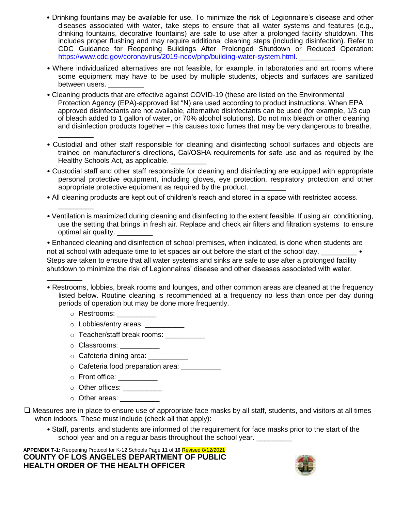- Drinking fountains may be available for use. To minimize the risk of Legionnaire's disease and other diseases associated with water, take steps to ensure that all water systems and features (e.g., drinking fountains, decorative fountains) are safe to use after a prolonged facility shutdown. This includes proper flushing and may require additional cleaning steps (including disinfection). Refer to CDC Guidance for Reopening Buildings After Prolonged Shutdown or Reduced Operation: https://www.cdc.gov/coronavirus/2019-ncov/php/building-water-system.html
- Where individualized alternatives are not feasible, for example, in laboratories and art rooms where some equipment may have to be used by multiple students, objects and surfaces are sanitized between users.
- Cleaning products that are effective against COVID-19 (these are listed on the Environmental Protection Agency (EPA)-approved list "N) are used according to product instructions. When EPA approved disinfectants are not available, alternative disinfectants can be used (for example, 1/3 cup of bleach added to 1 gallon of water, or 70% alcohol solutions). Do not mix bleach or other cleaning and disinfection products together – this causes toxic fumes that may be very dangerous to breathe. \_\_\_\_\_\_\_\_\_
- Custodial and other staff responsible for cleaning and disinfecting school surfaces and objects are trained on manufacturer's directions, Cal/OSHA requirements for safe use and as required by the Healthy Schools Act, as applicable.
- Custodial staff and other staff responsible for cleaning and disinfecting are equipped with appropriate personal protective equipment, including gloves, eye protection, respiratory protection and other appropriate protective equipment as required by the product.
- All cleaning products are kept out of children's reach and stored in a space with restricted access.
- Ventilation is maximized during cleaning and disinfecting to the extent feasible. If using air conditioning, use the setting that brings in fresh air. Replace and check air filters and filtration systems to ensure optimal air quality. \_\_\_\_\_\_\_\_\_

• Enhanced cleaning and disinfection of school premises, when indicated, is done when students are not at school with adequate time to let spaces air out before the start of the school day. Steps are taken to ensure that all water systems and sinks are safe to use after a prolonged facility shutdown to minimize the risk of Legionnaires' disease and other diseases associated with water.

- Restrooms, lobbies, break rooms and lounges, and other common areas are cleaned at the frequency listed below. Routine cleaning is recommended at a frequency no less than once per day during periods of operation but may be done more frequently.
	- o Restrooms: \_\_\_\_\_\_\_\_

\_\_\_\_\_\_\_\_\_

\_\_\_\_\_\_\_\_\_

- o Lobbies/entry areas: \_\_\_\_\_\_\_\_\_\_
- o Teacher/staff break rooms: \_\_\_\_\_\_\_\_\_\_
- o Classrooms:
- $\circ$  Cafeteria dining area:
- $\circ$  Cafeteria food preparation area:
- o Front office: \_\_\_\_\_\_\_\_\_\_
- $\circ$  Other offices:
- $\circ$  Other areas:
- ❑ Measures are in place to ensure use of appropriate face masks by all staff, students, and visitors at all times when indoors. These must include (check all that apply):
	- Staff, parents, and students are informed of the requirement for face masks prior to the start of the school year and on a regular basis throughout the school year.

**APPENDIX T-1:** Reopening Protocol for K-12 Schools Page **11** of **16** Revised 8/12/2021 **COUNTY OF LOS ANGELES DEPARTMENT OF PUBLIC HEALTH ORDER OF THE HEALTH OFFICER** 

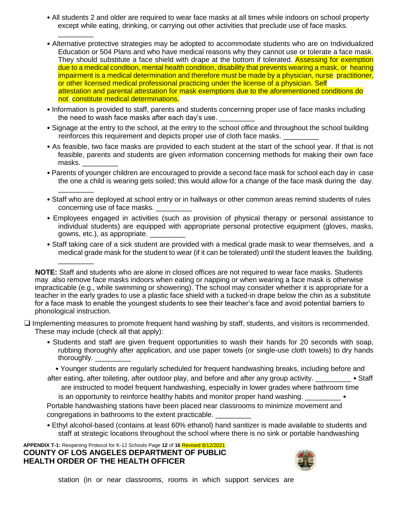- All students 2 and older are required to wear face masks at all times while indoors on school property except while eating, drinking, or carrying out other activities that preclude use of face masks.
- Alternative protective strategies may be adopted to accommodate students who are on Individualized Education or 504 Plans and who have medical reasons why they cannot use or tolerate a face mask. They should substitute a face shield with drape at the bottom if tolerated. Assessing for exemption due to a medical condition, mental health condition, disability that prevents wearing a mask, or hearing impairment is a medical determination and therefore must be made by a physician, nurse practitioner, or other licensed medical professional practicing under the license of a physician. Self attestation and parental attestation for mask exemptions due to the aforementioned conditions do not constitute medical determinations.
- Information is provided to staff, parents and students concerning proper use of face masks including the need to wash face masks after each day's use.
- Signage at the entry to the school, at the entry to the school office and throughout the school building reinforces this requirement and depicts proper use of cloth face masks.
- As feasible, two face masks are provided to each student at the start of the school year. If that is not feasible, parents and students are given information concerning methods for making their own face masks. \_
- Parents of younger children are encouraged to provide a second face mask for school each day in case the one a child is wearing gets soiled; this would allow for a change of the face mask during the day.
- Staff who are deployed at school entry or in hallways or other common areas remind students of rules concerning use of face masks.
- Employees engaged in activities (such as provision of physical therapy or personal assistance to individual students) are equipped with appropriate personal protective equipment (gloves, masks, gowns, etc.), as appropriate. \_\_\_\_\_\_\_\_\_
- Staff taking care of a sick student are provided with a medical grade mask to wear themselves, and a medical grade mask for the student to wear (if it can be tolerated) until the student leaves the building.

**NOTE:** Staff and students who are alone in closed offices are not required to wear face masks. Students may also remove face masks indoors when eating or napping or when wearing a face mask is otherwise impracticable (e.g., while swimming or showering). The school may consider whether it is appropriate for a teacher in the early grades to use a plastic face shield with a tucked-in drape below the chin as a substitute for a face mask to enable the youngest students to see their teacher's face and avoid potential barriers to phonological instruction.

- ❑ Implementing measures to promote frequent hand washing by staff, students, and visitors is recommended. These may include (check all that apply):
	- Students and staff are given frequent opportunities to wash their hands for 20 seconds with soap, rubbing thoroughly after application, and use paper towels (or single-use cloth towels) to dry hands thoroughly. \_

• Younger students are regularly scheduled for frequent handwashing breaks, including before and after eating, after toileting, after outdoor play, and before and after any group activity.  $\bullet$  Staff

are instructed to model frequent handwashing, especially in lower grades where bathroom time is an opportunity to reinforce healthy habits and monitor proper hand washing.

Portable handwashing stations have been placed near classrooms to minimize movement and congregations in bathrooms to the extent practicable.

• Ethyl alcohol-based (contains at least 60% ethanol) hand sanitizer is made available to students and staff at strategic locations throughout the school where there is no sink or portable handwashing

**APPENDIX T-1:** Reopening Protocol for K-12 Schools Page **12** of **16** Revised 8/12/2021 **COUNTY OF LOS ANGELES DEPARTMENT OF PUBLIC HEALTH ORDER OF THE HEALTH OFFICER** 

\_\_\_\_\_\_\_\_\_

\_\_\_\_\_\_\_\_\_

\_\_\_\_\_\_\_\_\_

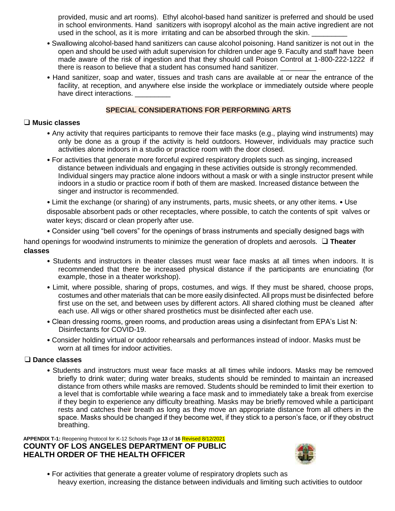provided, music and art rooms). Ethyl alcohol-based hand sanitizer is preferred and should be used in school environments. Hand sanitizers with isopropyl alcohol as the main active ingredient are not used in the school, as it is more irritating and can be absorbed through the skin.

- Swallowing alcohol-based hand sanitizers can cause alcohol poisoning. Hand sanitizer is not out in the open and should be used with adult supervision for children under age 9. Faculty and staff have been made aware of the risk of ingestion and that they should call Poison Control at 1-800-222-1222 if there is reason to believe that a student has consumed hand sanitizer.
- Hand sanitizer, soap and water, tissues and trash cans are available at or near the entrance of the facility, at reception, and anywhere else inside the workplace or immediately outside where people have direct interactions.

## **SPECIAL CONSIDERATIONS FOR PERFORMING ARTS**

#### ❑ **Music classes**

- Any activity that requires participants to remove their face masks (e.g., playing wind instruments) may only be done as a group if the activity is held outdoors. However, individuals may practice such activities alone indoors in a studio or practice room with the door closed.
- For activities that generate more forceful expired respiratory droplets such as singing, increased distance between individuals and engaging in these activities outside is strongly recommended. Individual singers may practice alone indoors without a mask or with a single instructor present while indoors in a studio or practice room if both of them are masked. Increased distance between the singer and instructor is recommended.

• Limit the exchange (or sharing) of any instruments, parts, music sheets, or any other items. • Use disposable absorbent pads or other receptacles, where possible, to catch the contents of spit valves or water keys; discard or clean properly after use.

• Consider using "bell covers" for the openings of brass instruments and specially designed bags with

hand openings for woodwind instruments to minimize the generation of droplets and aerosols. ❑ **Theater classes** 

- Students and instructors in theater classes must wear face masks at all times when indoors. It is recommended that there be increased physical distance if the participants are enunciating (for example, those in a theater workshop).
- Limit, where possible, sharing of props, costumes, and wigs. If they must be shared, choose props, costumes and other materials that can be more easily disinfected. All props must be disinfected before first use on the set, and between uses by different actors. All shared clothing must be cleaned after each use. All wigs or other shared prosthetics must be disinfected after each use.
- Clean dressing rooms, green rooms, and production areas using a disinfectant from EPA's List N: Disinfectants for COVID-19.
- Consider holding virtual or outdoor rehearsals and performances instead of indoor. Masks must be worn at all times for indoor activities.

#### ❑ **Dance classes**

• Students and instructors must wear face masks at all times while indoors. Masks may be removed briefly to drink water; during water breaks, students should be reminded to maintain an increased distance from others while masks are removed. Students should be reminded to limit their exertion to a level that is comfortable while wearing a face mask and to immediately take a break from exercise if they begin to experience any difficulty breathing. Masks may be briefly removed while a participant rests and catches their breath as long as they move an appropriate distance from all others in the space. Masks should be changed if they become wet, if they stick to a person's face, or if they obstruct breathing.

**APPENDIX T-1:** Reopening Protocol for K-12 Schools Page **13** of **16** Revised 8/12/2021 **COUNTY OF LOS ANGELES DEPARTMENT OF PUBLIC HEALTH ORDER OF THE HEALTH OFFICER** 



• For activities that generate a greater volume of respiratory droplets such as heavy exertion, increasing the distance between individuals and limiting such activities to outdoor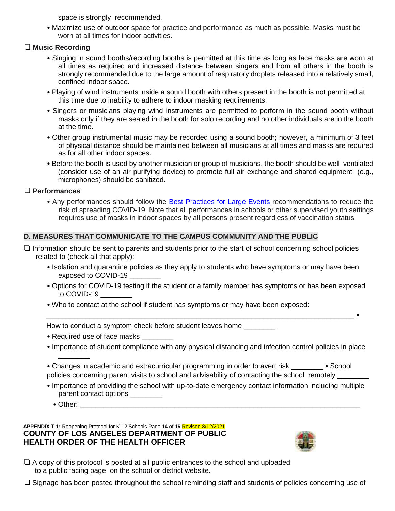space is strongly recommended.

• Maximize use of outdoor space for practice and performance as much as possible. Masks must be worn at all times for indoor activities.

# ❑ **Music Recording**

- Singing in sound booths/recording booths is permitted at this time as long as face masks are worn at all times as required and increased distance between singers and from all others in the booth is strongly recommended due to the large amount of respiratory droplets released into a relatively small, confined indoor space.
- Playing of wind instruments inside a sound booth with others present in the booth is not permitted at this time due to inability to adhere to indoor masking requirements.
- Singers or musicians playing wind instruments are permitted to perform in the sound booth without masks only if they are sealed in the booth for solo recording and no other individuals are in the booth at the time.
- Other group instrumental music may be recorded using a sound booth; however, a minimum of 3 feet of physical distance should be maintained between all musicians at all times and masks are required as for all other indoor spaces.
- Before the booth is used by another musician or group of musicians, the booth should be well ventilated (consider use of an air purifying device) to promote full air exchange and shared equipment (e.g., microphones) should be sanitized.

# ❑ **Performances**

• Any performances should follow the Best Practices for Large Events recommendations to reduce the risk of spreading COVID-19. Note that all performances in schools or other supervised youth settings requires use of masks in indoor spaces by all persons present regardless of vaccination status.

# **D. MEASURES THAT COMMUNICATE TO THE CAMPUS COMMUNITY AND THE PUBLIC**

- ❑ Information should be sent to parents and students prior to the start of school concerning school policies related to (check all that apply):
	- Isolation and quarantine policies as they apply to students who have symptoms or may have been exposed to COVID-19
	- Options for COVID-19 testing if the student or a family member has symptoms or has been exposed to COVID-19

\_\_\_\_\_\_\_\_\_\_\_\_\_\_\_\_\_\_\_\_\_\_\_\_\_\_\_\_\_\_\_\_\_\_\_\_\_\_\_\_\_\_\_\_\_\_\_\_\_\_\_\_\_\_\_\_\_\_\_\_\_\_\_\_\_\_\_\_\_\_\_\_\_\_\_\_\_\_ •

• Who to contact at the school if student has symptoms or may have been exposed:

How to conduct a symptom check before student leaves home \_\_\_\_\_\_\_\_\_

- Required use of face masks
- Importance of student compliance with any physical distancing and infection control policies in place
- Changes in academic and extracurricular programming in order to avert risk School policies concerning parent visits to school and advisability of contacting the school remotely \_
- Importance of providing the school with up-to-date emergency contact information including multiple parent contact options \_\_\_\_\_\_\_\_
	- Other:  $\blacksquare$

\_\_\_\_\_\_\_\_

**APPENDIX T-1:** Reopening Protocol for K-12 Schools Page **14** of **16** Revised 8/12/2021 **COUNTY OF LOS ANGELES DEPARTMENT OF PUBLIC HEALTH ORDER OF THE HEALTH OFFICER** 



- $\Box$  A copy of this protocol is posted at all public entrances to the school and uploaded to a public facing page on the school or district website.
- ❑ Signage has been posted throughout the school reminding staff and students of policies concerning use of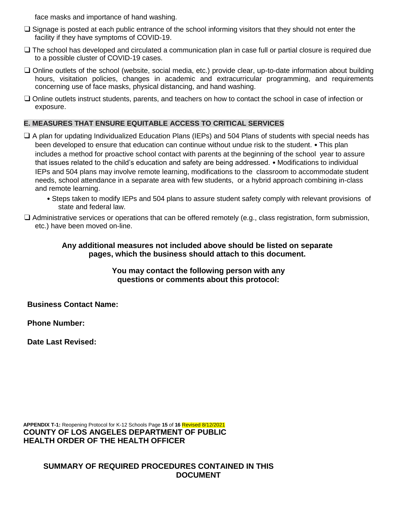face masks and importance of hand washing.

- ❑ Signage is posted at each public entrance of the school informing visitors that they should not enter the facility if they have symptoms of COVID-19.
- ❑ The school has developed and circulated a communication plan in case full or partial closure is required due to a possible cluster of COVID-19 cases.
- ❑ Online outlets of the school (website, social media, etc.) provide clear, up-to-date information about building hours, visitation policies, changes in academic and extracurricular programming, and requirements concerning use of face masks, physical distancing, and hand washing.
- ❑ Online outlets instruct students, parents, and teachers on how to contact the school in case of infection or exposure.

## **E. MEASURES THAT ENSURE EQUITABLE ACCESS TO CRITICAL SERVICES**

- ❑ A plan for updating Individualized Education Plans (IEPs) and 504 Plans of students with special needs has been developed to ensure that education can continue without undue risk to the student. • This plan includes a method for proactive school contact with parents at the beginning of the school year to assure that issues related to the child's education and safety are being addressed. • Modifications to individual IEPs and 504 plans may involve remote learning, modifications to the classroom to accommodate student needs, school attendance in a separate area with few students, or a hybrid approach combining in-class and remote learning.
	- Steps taken to modify IEPs and 504 plans to assure student safety comply with relevant provisions of state and federal law.
- ❑ Administrative services or operations that can be offered remotely (e.g., class registration, form submission, etc.) have been moved on-line.

**Any additional measures not included above should be listed on separate pages, which the business should attach to this document.** 

> **You may contact the following person with any questions or comments about this protocol:**

**Business Contact Name:** 

**Phone Number:** 

**Date Last Revised:**

**APPENDIX T-1:** Reopening Protocol for K-12 Schools Page **15** of **16** Revised 8/12/2021 **COUNTY OF LOS ANGELES DEPARTMENT OF PUBLIC HEALTH ORDER OF THE HEALTH OFFICER** 

**SUMMARY OF REQUIRED PROCEDURES CONTAINED IN THIS DOCUMENT**